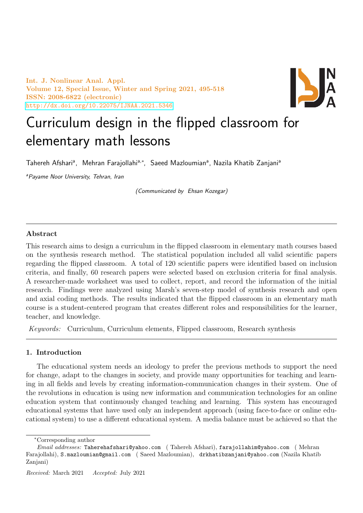Int. J. Nonlinear Anal. Appl. Volume 12, Special Issue, Winter and Spring 2021, 495-518 ISSN: 2008-6822 (electronic) <http://dx.doi.org/10.22075/IJNAA.2021.5346>



# Curriculum design in the flipped classroom for elementary math lessons

Tahereh Afshariª, Mehran Farajollahiª,\*, Saeed Mazloumianª, Nazila Khatib Zanjaniª

<sup>a</sup> Payame Noor University, Tehran, Iran

(Communicated by Ehsan Kozegar)

## Abstract

This research aims to design a curriculum in the flipped classroom in elementary math courses based on the synthesis research method. The statistical population included all valid scientific papers regarding the flipped classroom. A total of 120 scientific papers were identified based on inclusion criteria, and finally, 60 research papers were selected based on exclusion criteria for final analysis. A researcher-made worksheet was used to collect, report, and record the information of the initial research. Findings were analyzed using Marsh's seven-step model of synthesis research and open and axial coding methods. The results indicated that the flipped classroom in an elementary math course is a student-centered program that creates different roles and responsibilities for the learner, teacher, and knowledge.

Keywords: Curriculum, Curriculum elements, Flipped classroom, Research synthesis

## 1. Introduction

The educational system needs an ideology to prefer the previous methods to support the need for change, adapt to the changes in society, and provide many opportunities for teaching and learning in all fields and levels by creating information-communication changes in their system. One of the revolutions in education is using new information and communication technologies for an online education system that continuously changed teaching and learning. This system has encouraged educational systems that have used only an independent approach (using face-to-face or online educational system) to use a different educational system. A media balance must be achieved so that the

<sup>∗</sup>Corresponding author

Email addresses: Taherehafshari@yahoo.com ( Tahereh Afshari), farajollahim@yahoo.com ( Mehran Farajollahi), S.mazloumian@gmail.com ( Saeed Mazloumian), drkhatibzanjani@yahoo.com (Nazila Khatib Zanjani)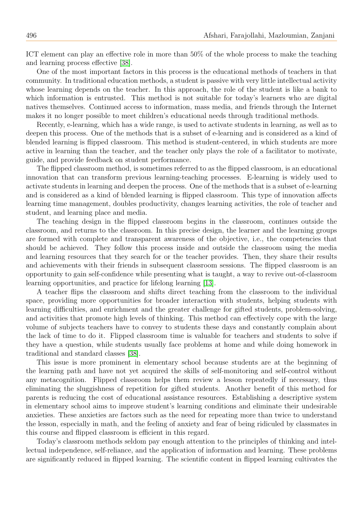ICT element can play an effective role in more than 50% of the whole process to make the teaching and learning process effective [\[38\]](#page-22-0).

One of the most important factors in this process is the educational methods of teachers in that community. In traditional education methods, a student is passive with very little intellectual activity whose learning depends on the teacher. In this approach, the role of the student is like a bank to which information is entrusted. This method is not suitable for today's learners who are digital natives themselves. Continued access to information, mass media, and friends through the Internet makes it no longer possible to meet children's educational needs through traditional methods.

Recently, e-learning, which has a wide range, is used to activate students in learning, as well as to deepen this process. One of the methods that is a subset of e-learning and is considered as a kind of blended learning is flipped classroom. This method is student-centered, in which students are more active in learning than the teacher, and the teacher only plays the role of a facilitator to motivate, guide, and provide feedback on student performance.

The flipped classroom method, is sometimes referred to as the flipped classroom, is an educational innovation that can transform previous learning-teaching processes. E-learning is widely used to activate students in learning and deepen the process. One of the methods that is a subset of e-learning and is considered as a kind of blended learning is flipped classroom. This type of innovation affects learning time management, doubles productivity, changes learning activities, the role of teacher and student, and learning place and media.

The teaching design in the flipped classroom begins in the classroom, continues outside the classroom, and returns to the classroom. In this precise design, the learner and the learning groups are formed with complete and transparent awareness of the objective, i.e., the competencies that should be achieved. They follow this process inside and outside the classroom using the media and learning resources that they search for or the teacher provides. Then, they share their results and achievements with their friends in subsequent classroom sessions. The flipped classroom is an opportunity to gain self-confidence while presenting what is taught, a way to revive out-of-classroom learning opportunities, and practice for lifelong learning [\[13\]](#page-21-0).

A teacher flips the classroom and shifts direct teaching from the classroom to the individual space, providing more opportunities for broader interaction with students, helping students with learning difficulties, and enrichment and the greater challenge for gifted students, problem-solving, and activities that promote high levels of thinking. This method can effectively cope with the large volume of subjects teachers have to convey to students these days and constantly complain about the lack of time to do it. Flipped classroom time is valuable for teachers and students to solve if they have a question, while students usually face problems at home and while doing homework in traditional and standard classes [\[38\]](#page-22-0).

This issue is more prominent in elementary school because students are at the beginning of the learning path and have not yet acquired the skills of self-monitoring and self-control without any metacognition. Flipped classroom helps them review a lesson repeatedly if necessary, thus eliminating the sluggishness of repetition for gifted students. Another benefit of this method for parents is reducing the cost of educational assistance resources. Establishing a descriptive system in elementary school aims to improve student's learning conditions and eliminate their undesirable anxieties. These anxieties are factors such as the need for repeating more than twice to understand the lesson, especially in math, and the feeling of anxiety and fear of being ridiculed by classmates in this course and flipped classroom is efficient in this regard.

Today's classroom methods seldom pay enough attention to the principles of thinking and intellectual independence, self-reliance, and the application of information and learning. These problems are significantly reduced in flipped learning. The scientific content in flipped learning cultivates the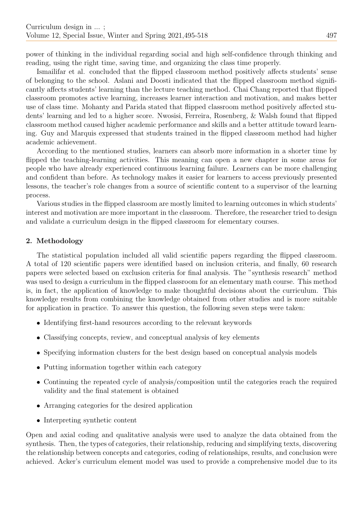power of thinking in the individual regarding social and high self-confidence through thinking and reading, using the right time, saving time, and organizing the class time properly.

Ismailifar et al. concluded that the flipped classroom method positively affects students' sense of belonging to the school. Aslani and Doosti indicated that the flipped classroom method significantly affects students' learning than the lecture teaching method. Chai Chang reported that flipped classroom promotes active learning, increases learner interaction and motivation, and makes better use of class time. Mohanty and Parida stated that flipped classroom method positively affected students' learning and led to a higher score. Nwosisi, Ferreira, Rosenberg, & Walsh found that flipped classroom method caused higher academic performance and skills and a better attitude toward learning. Guy and Marquis expressed that students trained in the flipped classroom method had higher academic achievement.

According to the mentioned studies, learners can absorb more information in a shorter time by flipped the teaching-learning activities. This meaning can open a new chapter in some areas for people who have already experienced continuous learning failure. Learners can be more challenging and confident than before. As technology makes it easier for learners to access previously presented lessons, the teacher's role changes from a source of scientific content to a supervisor of the learning process.

Various studies in the flipped classroom are mostly limited to learning outcomes in which students' interest and motivation are more important in the classroom. Therefore, the researcher tried to design and validate a curriculum design in the flipped classroom for elementary courses.

## 2. Methodology

The statistical population included all valid scientific papers regarding the flipped classroom. A total of 120 scientific papers were identified based on inclusion criteria, and finally, 60 research papers were selected based on exclusion criteria for final analysis. The "synthesis research" method was used to design a curriculum in the flipped classroom for an elementary math course. This method is, in fact, the application of knowledge to make thoughtful decisions about the curriculum. This knowledge results from combining the knowledge obtained from other studies and is more suitable for application in practice. To answer this question, the following seven steps were taken:

- Identifying first-hand resources according to the relevant keywords
- Classifying concepts, review, and conceptual analysis of key elements
- Specifying information clusters for the best design based on conceptual analysis models
- Putting information together within each category
- Continuing the repeated cycle of analysis/composition until the categories reach the required validity and the final statement is obtained
- Arranging categories for the desired application
- Interpreting synthetic content

Open and axial coding and qualitative analysis were used to analyze the data obtained from the synthesis. Then, the types of categories, their relationship, reducing and simplifying texts, discovering the relationship between concepts and categories, coding of relationships, results, and conclusion were achieved. Acker's curriculum element model was used to provide a comprehensive model due to its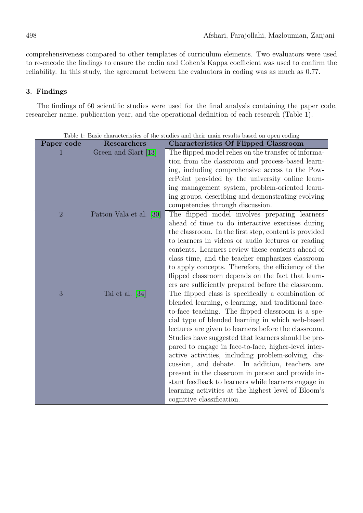comprehensiveness compared to other templates of curriculum elements. Two evaluators were used to re-encode the findings to ensure the codin and Cohen's Kappa coefficient was used to confirm the reliability. In this study, the agreement between the evaluators in coding was as much as 0.77.

## 3. Findings

The findings of 60 scientific studies were used for the final analysis containing the paper code, researcher name, publication year, and the operational definition of each research (Table 1).

| Paper code     | <b>Researchers</b>      | <b>Characteristics Of Flipped Classroom</b>           |
|----------------|-------------------------|-------------------------------------------------------|
|                | Green and Slart [13]    | The flipped model relies on the transfer of informa-  |
|                |                         | tion from the classroom and process-based learn-      |
|                |                         | ing, including comprehensive access to the Pow-       |
|                |                         | erPoint provided by the university online learn-      |
|                |                         | ing management system, problem-oriented learn-        |
|                |                         | ing groups, describing and demonstrating evolving     |
|                |                         | competencies through discussion.                      |
| $\overline{2}$ | Patton Vala et al. [30] | The flipped model involves preparing learners         |
|                |                         | ahead of time to do interactive exercises during      |
|                |                         | the classroom. In the first step, content is provided |
|                |                         | to learners in videos or audio lectures or reading    |
|                |                         | contents. Learners review these contents ahead of     |
|                |                         | class time, and the teacher emphasizes classroom      |
|                |                         | to apply concepts. Therefore, the efficiency of the   |
|                |                         | flipped classroom depends on the fact that learn-     |
|                |                         | ers are sufficiently prepared before the classroom.   |
| 3              | Tai et al. $[34]$       | The flipped class is specifically a combination of    |
|                |                         | blended learning, e-learning, and traditional face-   |
|                |                         | to-face teaching. The flipped classroom is a spe-     |
|                |                         | cial type of blended learning in which web-based      |
|                |                         | lectures are given to learners before the classroom.  |
|                |                         | Studies have suggested that learners should be pre-   |
|                |                         | pared to engage in face-to-face, higher-level inter-  |
|                |                         | active activities, including problem-solving, dis-    |
|                |                         | cussion, and debate. In addition, teachers are        |
|                |                         | present in the classroom in person and provide in-    |
|                |                         | stant feedback to learners while learners engage in   |
|                |                         | learning activities at the highest level of Bloom's   |
|                |                         | cognitive classification.                             |

Table 1: Basic characteristics of the studies and their main results based on open coding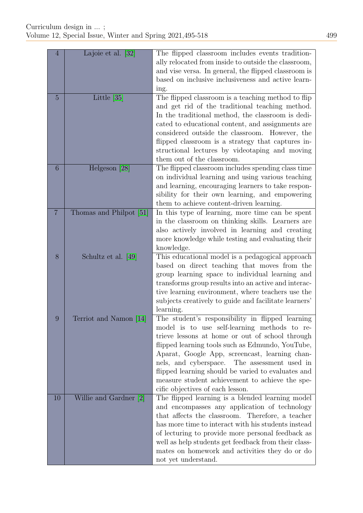| $\overline{4}$ | Lajoie et al. [32]                    | The flipped classroom includes events tradition-      |
|----------------|---------------------------------------|-------------------------------------------------------|
|                |                                       | ally relocated from inside to outside the classroom,  |
|                |                                       | and vise versa. In general, the flipped classroom is  |
|                |                                       | based on inclusive inclusiveness and active learn-    |
|                |                                       | ing.                                                  |
| $\overline{5}$ | Little [35]                           | The flipped classroom is a teaching method to flip    |
|                |                                       | and get rid of the traditional teaching method.       |
|                |                                       | In the traditional method, the classroom is dedi-     |
|                |                                       | cated to educational content, and assignments are     |
|                |                                       | considered outside the classroom. However, the        |
|                |                                       |                                                       |
|                |                                       | flipped classroom is a strategy that captures in-     |
|                |                                       | structional lectures by videotaping and moving        |
|                |                                       | them out of the classroom.                            |
| 6              | Helgeson $[28]$                       | The flipped classroom includes spending class time    |
|                |                                       | on individual learning and using various teaching     |
|                |                                       | and learning, encouraging learners to take respon-    |
|                |                                       | sibility for their own learning, and empowering       |
|                |                                       | them to achieve content-driven learning.              |
| $\overline{7}$ | Thomas and Philpot [51]               | In this type of learning, more time can be spent      |
|                |                                       | in the classroom on thinking skills. Learners are     |
|                |                                       | also actively involved in learning and creating       |
|                |                                       | more knowledge while testing and evaluating their     |
|                |                                       | knowledge.                                            |
| 8              | Schultz et al. [49]                   | This educational model is a pedagogical approach      |
|                |                                       | based on direct teaching that moves from the          |
|                |                                       | group learning space to individual learning and       |
|                |                                       | transforms group results into an active and interac-  |
|                |                                       | tive learning environment, where teachers use the     |
|                |                                       | subjects creatively to guide and facilitate learners' |
|                |                                       | learning.                                             |
| 9              | Terriot and Namon<br>$\vert 14 \vert$ | The student's responsibility in flipped learning      |
|                |                                       | model is to use self-learning methods to re-          |
|                |                                       | trieve lessons at home or out of school through       |
|                |                                       | flipped learning tools such as Edmundo, YouTube,      |
|                |                                       | Aparat, Google App, screencast, learning chan-        |
|                |                                       | nels, and cyberspace. The assessment used in          |
|                |                                       | flipped learning should be varied to evaluates and    |
|                |                                       | measure student achievement to achieve the spe-       |
|                |                                       | cific objectives of each lesson.                      |
| 10             | Willie and Gardner [2]                | The flipped learning is a blended learning model      |
|                |                                       | and encompasses any application of technology         |
|                |                                       | that affects the classroom. Therefore, a teacher      |
|                |                                       | has more time to interact with his students instead   |
|                |                                       | of lecturing to provide more personal feedback as     |
|                |                                       | well as help students get feedback from their class-  |
|                |                                       | mates on homework and activities they do or do        |
|                |                                       | not yet understand.                                   |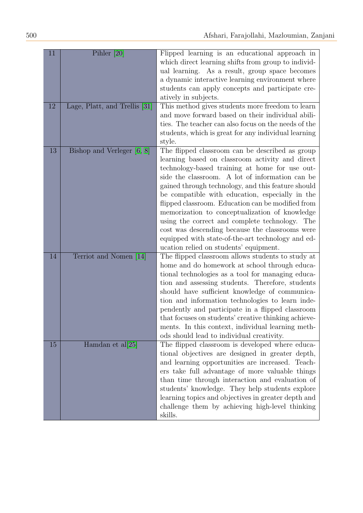| 11 | Pihler $[20]$                 | Flipped learning is an educational approach in<br>which direct learning shifts from group to individ-<br>ual learning. As a result, group space becomes<br>a dynamic interactive learning environment where<br>students can apply concepts and participate cre-<br>atively in subjects.                                                                                                                                                                                                                                                                                                                                        |
|----|-------------------------------|--------------------------------------------------------------------------------------------------------------------------------------------------------------------------------------------------------------------------------------------------------------------------------------------------------------------------------------------------------------------------------------------------------------------------------------------------------------------------------------------------------------------------------------------------------------------------------------------------------------------------------|
| 12 | Lage, Platt, and Trellis [31] | This method gives students more freedom to learn<br>and move forward based on their individual abili-                                                                                                                                                                                                                                                                                                                                                                                                                                                                                                                          |
|    |                               | ties. The teacher can also focus on the needs of the                                                                                                                                                                                                                                                                                                                                                                                                                                                                                                                                                                           |
|    |                               | students, which is great for any individual learning                                                                                                                                                                                                                                                                                                                                                                                                                                                                                                                                                                           |
|    |                               | style.                                                                                                                                                                                                                                                                                                                                                                                                                                                                                                                                                                                                                         |
| 13 | Bishop and Verleger [6, 8]    | The flipped classroom can be described as group<br>learning based on classroom activity and direct<br>technology-based training at home for use out-<br>side the classroom. A lot of information can be<br>gained through technology, and this feature should<br>be compatible with education, especially in the<br>flipped classroom. Education can be modified from<br>memorization to conceptualization of knowledge<br>using the correct and complete technology.<br>The<br>cost was descending because the classrooms were<br>equipped with state-of-the-art technology and ed-<br>ucation relied on students' equipment. |
| 14 | Terriot and Nomen [14]        | The flipped classroom allows students to study at                                                                                                                                                                                                                                                                                                                                                                                                                                                                                                                                                                              |
|    |                               | home and do homework at school through educa-<br>tional technologies as a tool for managing educa-<br>tion and assessing students. Therefore, students<br>should have sufficient knowledge of communica-<br>tion and information technologies to learn inde-<br>pendently and participate in a flipped classroom<br>that focuses on students' creative thinking achieve-<br>ments. In this context, individual learning meth-<br>ods should lead to individual creativity.                                                                                                                                                     |
| 15 | Hamdan et al[25]              | The flipped classroom is developed where educa-<br>tional objectives are designed in greater depth,<br>and learning opportunities are increased. Teach-<br>ers take full advantage of more valuable things<br>than time through interaction and evaluation of<br>students' knowledge. They help students explore<br>learning topics and objectives in greater depth and<br>challenge them by achieving high-level thinking<br>skills.                                                                                                                                                                                          |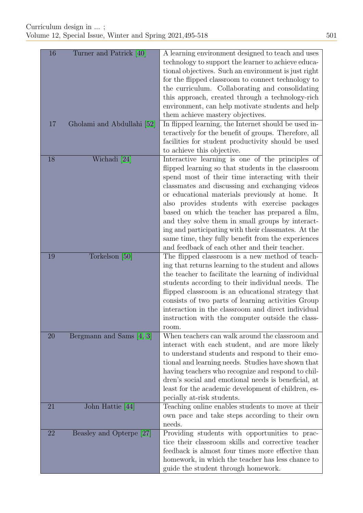| 16 | Turner and Patrick [40]    | A learning environment designed to teach and uses<br>technology to support the learner to achieve educa-<br>tional objectives. Such an environment is just right<br>for the flipped classroom to connect technology to<br>the curriculum. Collaborating and consolidating<br>this approach, created through a technology-rich<br>environment, can help motivate students and help<br>them achieve mastery objectives.                                                                                                                                                                 |
|----|----------------------------|---------------------------------------------------------------------------------------------------------------------------------------------------------------------------------------------------------------------------------------------------------------------------------------------------------------------------------------------------------------------------------------------------------------------------------------------------------------------------------------------------------------------------------------------------------------------------------------|
| 17 | Gholami and Abdullahi [52] | In flipped learning, the Internet should be used in-<br>teractively for the benefit of groups. Therefore, all<br>facilities for student productivity should be used<br>to achieve this objective.                                                                                                                                                                                                                                                                                                                                                                                     |
| 18 | Wichadi [24]               | Interactive learning is one of the principles of<br>flipped learning so that students in the classroom<br>spend most of their time interacting with their<br>classmates and discussing and exchanging videos<br>or educational materials previously at home. It<br>also provides students with exercise packages<br>based on which the teacher has prepared a film,<br>and they solve them in small groups by interact-<br>ing and participating with their classmates. At the<br>same time, they fully benefit from the experiences<br>and feedback of each other and their teacher. |
| 19 | Torkelson [50]             | The flipped classroom is a new method of teach-<br>ing that returns learning to the student and allows<br>the teacher to facilitate the learning of individual<br>students according to their individual needs. The<br>flipped classroom is an educational strategy that<br>consists of two parts of learning activities Group<br>interaction in the classroom and direct individual<br>instruction with the computer outside the class-<br>room.                                                                                                                                     |
| 20 | Bergmann and Sams [4, 3]   | When teachers can walk around the classroom and<br>interact with each student, and are more likely<br>to understand students and respond to their emo-<br>tional and learning needs. Studies have shown that<br>having teachers who recognize and respond to chil-<br>dren's social and emotional needs is beneficial, at<br>least for the academic development of children, es-<br>pecially at-risk students.                                                                                                                                                                        |
| 21 | John Hattie [44]           | Teaching online enables students to move at their<br>own pace and take steps according to their own<br>needs.                                                                                                                                                                                                                                                                                                                                                                                                                                                                         |
| 22 | Beasley and Opterpe [27]   | Providing students with opportunities to prac-<br>tice their classroom skills and corrective teacher<br>feedback is almost four times more effective than<br>homework, in which the teacher has less chance to<br>guide the student through homework.                                                                                                                                                                                                                                                                                                                                 |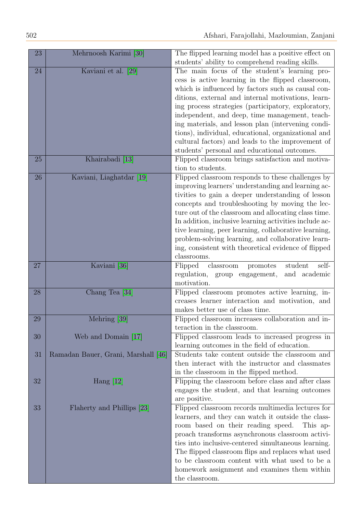| 23 | Mehrnoosh Karimi [30]               | The flipped learning model has a positive effect on<br>students' ability to comprehend reading skills.                                                                                                                                                                                                                                                                                                                                                                                                                                    |
|----|-------------------------------------|-------------------------------------------------------------------------------------------------------------------------------------------------------------------------------------------------------------------------------------------------------------------------------------------------------------------------------------------------------------------------------------------------------------------------------------------------------------------------------------------------------------------------------------------|
| 24 | Kaviani et al. [29]                 | The main focus of the student's learning pro-<br>cess is active learning in the flipped classroom,<br>which is influenced by factors such as causal con-<br>ditions, external and internal motivations, learn-<br>ing process strategies (participatory, exploratory,<br>independent, and deep, time management, teach-<br>ing materials, and lesson plan (intervening condi-<br>tions), individual, educational, organizational and<br>cultural factors) and leads to the improvement of<br>students' personal and educational outcomes. |
| 25 | Khairabadi [13]                     | Flipped classroom brings satisfaction and motiva-<br>tion to students.                                                                                                                                                                                                                                                                                                                                                                                                                                                                    |
| 26 | Kaviani, Liaghatdar [19]            | Flipped classroom responds to these challenges by<br>improving learners' understanding and learning ac-<br>tivities to gain a deeper understanding of lesson<br>concepts and troubleshooting by moving the lec-<br>ture out of the classroom and allocating class time.<br>In addition, inclusive learning activities include ac-<br>tive learning, peer learning, collaborative learning,<br>problem-solving learning, and collaborative learn-<br>ing, consistent with theoretical evidence of flipped<br>classrooms.                   |
| 27 | Kaviani [36]                        | Flipped<br>classroom<br>promotes<br>student<br>self-<br>regulation, group engagement,<br>and academic<br>motivation.                                                                                                                                                                                                                                                                                                                                                                                                                      |
| 28 | Chang Tea [34]                      | Flipped classroom promotes active learning, in-<br>creases learner interaction and motivation, and<br>makes better use of class time.                                                                                                                                                                                                                                                                                                                                                                                                     |
| 29 | Mehring [39]                        | Flipped classroom increases collaboration and in-<br>teraction in the classroom.                                                                                                                                                                                                                                                                                                                                                                                                                                                          |
| 30 | Web and Domain [17]                 | Flipped classroom leads to increased progress in<br>learning outcomes in the field of education.                                                                                                                                                                                                                                                                                                                                                                                                                                          |
| 31 | Ramadan Bauer, Grani, Marshall [46] | Students take content outside the classroom and<br>then interact with the instructor and classmates<br>in the classroom in the flipped method.                                                                                                                                                                                                                                                                                                                                                                                            |
| 32 | Hang $[12]$                         | Flipping the classroom before class and after class<br>engages the student, and that learning outcomes<br>are positive.                                                                                                                                                                                                                                                                                                                                                                                                                   |
| 33 | Flaherty and Phillips [23]          | Flipped classroom records multimedia lectures for<br>learners, and they can watch it outside the class-<br>room based on their reading speed.<br>This ap-<br>proach transforms asynchronous classroom activi-<br>ties into inclusive-centered simultaneous learning.<br>The flipped classroom flips and replaces what used<br>to be classroom content with what used to be a<br>homework assignment and examines them within<br>the classroom.                                                                                            |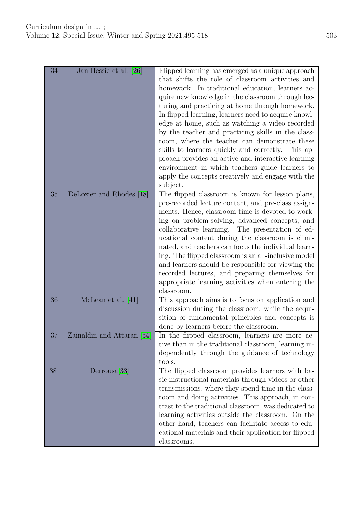| 34 | Jan Hessie et al. [26]     | Flipped learning has emerged as a unique approach<br>that shifts the role of classroom activities and<br>homework. In traditional education, learners ac-<br>quire new knowledge in the classroom through lec-<br>turing and practicing at home through homework.<br>In flipped learning, learners need to acquire knowl-<br>edge at home, such as watching a video recorded<br>by the teacher and practicing skills in the class-<br>room, where the teacher can demonstrate these<br>skills to learners quickly and correctly. This ap-<br>proach provides an active and interactive learning<br>environment in which teachers guide learners to<br>apply the concepts creatively and engage with the<br>subject. |
|----|----------------------------|---------------------------------------------------------------------------------------------------------------------------------------------------------------------------------------------------------------------------------------------------------------------------------------------------------------------------------------------------------------------------------------------------------------------------------------------------------------------------------------------------------------------------------------------------------------------------------------------------------------------------------------------------------------------------------------------------------------------|
| 35 | DeLozier and Rhodes [18]   | The flipped classroom is known for lesson plans,<br>pre-recorded lecture content, and pre-class assign-<br>ments. Hence, classroom time is devoted to work-<br>ing on problem-solving, advanced concepts, and<br>collaborative learning. The presentation of ed-<br>ucational content during the classroom is elimi-<br>nated, and teachers can focus the individual learn-<br>ing. The flipped classroom is an all-inclusive model<br>and learners should be responsible for viewing the<br>recorded lectures, and preparing themselves for<br>appropriate learning activities when entering the<br>classroom.                                                                                                     |
| 36 | McLean et al. [41]         | This approach aims is to focus on application and<br>discussion during the classroom, while the acqui-<br>sition of fundamental principles and concepts is<br>done by learners before the classroom.                                                                                                                                                                                                                                                                                                                                                                                                                                                                                                                |
| 37 | Zainaldin and Attaran [54] | In the flipped classroom, learners are more ac-<br>tive than in the traditional classroom, learning in-<br>dependently through the guidance of technology<br>tools.                                                                                                                                                                                                                                                                                                                                                                                                                                                                                                                                                 |
| 38 | Derrousa[33]               | The flipped classroom provides learners with ba-<br>sic instructional materials through videos or other<br>transmissions, where they spend time in the class-<br>room and doing activities. This approach, in con-<br>trast to the traditional classroom, was dedicated to<br>learning activities outside the classroom. On the<br>other hand, teachers can facilitate access to edu-<br>cational materials and their application for flipped<br>classrooms.                                                                                                                                                                                                                                                        |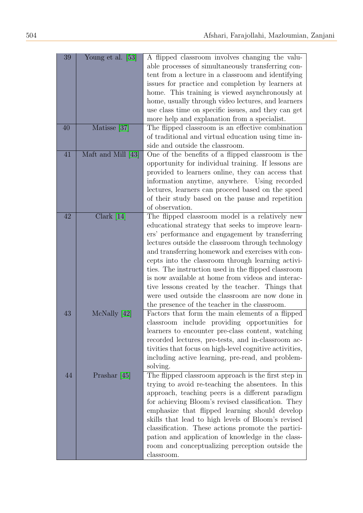| 39 | Young et al. [53]  | A flipped classroom involves changing the valu-         |
|----|--------------------|---------------------------------------------------------|
|    |                    | able processes of simultaneously transferring con-      |
|    |                    | tent from a lecture in a classroom and identifying      |
|    |                    | issues for practice and completion by learners at       |
|    |                    | home. This training is viewed asynchronously at         |
|    |                    | home, usually through video lectures, and learners      |
|    |                    | use class time on specific issues, and they can get     |
|    |                    | more help and explanation from a specialist.            |
| 40 | Matisse [37]       | The flipped classroom is an effective combination       |
|    |                    | of traditional and virtual education using time in-     |
|    |                    | side and outside the classroom.                         |
| 41 |                    |                                                         |
|    | Maft and Mill [43] | One of the benefits of a flipped classroom is the       |
|    |                    | opportunity for individual training. If lessons are     |
|    |                    | provided to learners online, they can access that       |
|    |                    | information anytime, anywhere. Using recorded           |
|    |                    | lectures, learners can proceed based on the speed       |
|    |                    | of their study based on the pause and repetition        |
|    |                    | of observation.                                         |
| 42 | Clark $[14]$       | The flipped classroom model is a relatively new         |
|    |                    | educational strategy that seeks to improve learn-       |
|    |                    | ers' performance and engagement by transferring         |
|    |                    | lectures outside the classroom through technology       |
|    |                    | and transferring homework and exercises with con-       |
|    |                    | cepts into the classroom through learning activi-       |
|    |                    | ties. The instruction used in the flipped classroom     |
|    |                    | is now available at home from videos and interac-       |
|    |                    | tive lessons created by the teacher. Things that        |
|    |                    | were used outside the classroom are now done in         |
|    |                    | the presence of the teacher in the classroom.           |
| 43 | McNally [42]       | Factors that form the main elements of a flipped        |
|    |                    | classroom include providing opportunities for           |
|    |                    | learners to encounter pre-class content, watching       |
|    |                    | recorded lectures, pre-tests, and in-classroom ac-      |
|    |                    | tivities that focus on high-level cognitive activities, |
|    |                    | including active learning, pre-read, and problem-       |
|    |                    | solving.                                                |
| 44 | Prashar $[45]$     | The flipped classroom approach is the first step in     |
|    |                    | trying to avoid re-teaching the absentees. In this      |
|    |                    | approach, teaching peers is a different paradigm        |
|    |                    | for achieving Bloom's revised classification. They      |
|    |                    | emphasize that flipped learning should develop          |
|    |                    | skills that lead to high levels of Bloom's revised      |
|    |                    | classification. These actions promote the partici-      |
|    |                    | pation and application of knowledge in the class-       |
|    |                    | room and conceptualizing perception outside the         |
|    |                    | classroom.                                              |
|    |                    |                                                         |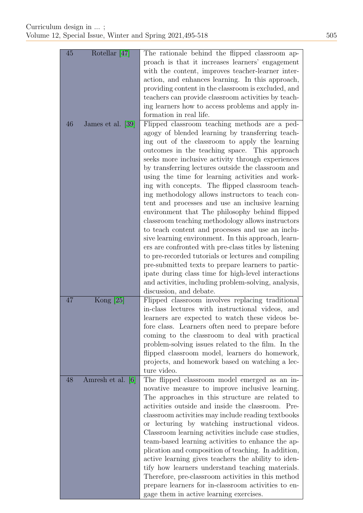| 45 | Rotellar [47]     | The rationale behind the flipped classroom ap-        |
|----|-------------------|-------------------------------------------------------|
|    |                   | proach is that it increases learners' engagement      |
|    |                   | with the content, improves teacher-learner inter-     |
|    |                   | action, and enhances learning. In this approach,      |
|    |                   | providing content in the classroom is excluded, and   |
|    |                   | teachers can provide classroom activities by teach-   |
|    |                   | ing learners how to access problems and apply in-     |
|    |                   | formation in real life.                               |
| 46 | James et al. [39] | Flipped classroom teaching methods are a ped-         |
|    |                   | agogy of blended learning by transferring teach-      |
|    |                   | ing out of the classroom to apply the learning        |
|    |                   | outcomes in the teaching space. This approach         |
|    |                   | seeks more inclusive activity through experiences     |
|    |                   | by transferring lectures outside the classroom and    |
|    |                   | using the time for learning activities and work-      |
|    |                   | ing with concepts. The flipped classroom teach-       |
|    |                   | ing methodology allows instructors to teach con-      |
|    |                   | tent and processes and use an inclusive learning      |
|    |                   | environment that The philosophy behind flipped        |
|    |                   | classroom teaching methodology allows instructors     |
|    |                   | to teach content and processes and use an inclu-      |
|    |                   | sive learning environment. In this approach, learn-   |
|    |                   | ers are confronted with pre-class titles by listening |
|    |                   | to pre-recorded tutorials or lectures and compiling   |
|    |                   | pre-submitted texts to prepare learners to partic-    |
|    |                   | ipate during class time for high-level interactions   |
|    |                   | and activities, including problem-solving, analysis,  |
|    |                   | discussion, and debate.                               |
| 47 | Kong $[25]$       | Flipped classroom involves replacing traditional      |
|    |                   | in-class lectures with instructional videos, and      |
|    |                   | learners are expected to watch these videos be-       |
|    |                   | fore class. Learners often need to prepare before     |
|    |                   | coming to the classroom to deal with practical        |
|    |                   | problem-solving issues related to the film. In the    |
|    |                   | flipped classroom model, learners do homework,        |
|    |                   | projects, and homework based on watching a lec-       |
|    |                   | ture video.                                           |
| 48 | Amresh et al. [6] | The flipped classroom model emerged as an in-         |
|    |                   | novative measure to improve inclusive learning.       |
|    |                   | The approaches in this structure are related to       |
|    |                   | activities outside and inside the classroom. Pre-     |
|    |                   | classroom activities may include reading textbooks    |
|    |                   | or lecturing by watching instructional videos.        |
|    |                   | Classroom learning activities include case studies,   |
|    |                   | team-based learning activities to enhance the ap-     |
|    |                   | plication and composition of teaching. In addition,   |
|    |                   | active learning gives teachers the ability to iden-   |
|    |                   | tify how learners understand teaching materials.      |
|    |                   | Therefore, pre-classroom activities in this method    |
|    |                   | prepare learners for in-classroom activities to en-   |
|    |                   | gage them in active learning exercises.               |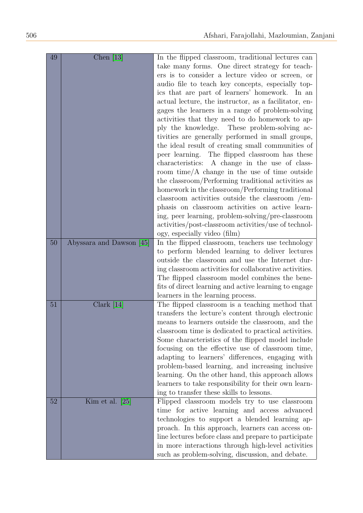| 49 | Chen $[13]$              | In the flipped classroom, traditional lectures can     |
|----|--------------------------|--------------------------------------------------------|
|    |                          | take many forms. One direct strategy for teach-        |
|    |                          | ers is to consider a lecture video or screen, or       |
|    |                          | audio file to teach key concepts, especially top-      |
|    |                          | ics that are part of learners' homework. In an         |
|    |                          | actual lecture, the instructor, as a facilitator, en-  |
|    |                          | gages the learners in a range of problem-solving       |
|    |                          | activities that they need to do homework to ap-        |
|    |                          | ply the knowledge. These problem-solving ac-           |
|    |                          | tivities are generally performed in small groups,      |
|    |                          | the ideal result of creating small communities of      |
|    |                          | peer learning. The flipped classroom has these         |
|    |                          | characteristics: A change in the use of class-         |
|    |                          | room time/A change in the use of time outside          |
|    |                          | the classroom/Performing traditional activities as     |
|    |                          | homework in the classroom/Performing traditional       |
|    |                          | classroom activities outside the classroom /em-        |
|    |                          | phasis on classroom activities on active learn-        |
|    |                          | ing, peer learning, problem-solving/pre-classroom      |
|    |                          | activities/post-classroom activities/use of technol-   |
|    |                          | ogy, especially video (film)                           |
| 50 | Abyssara and Dawson [45] | In the flipped classroom, teachers use technology      |
|    |                          | to perform blended learning to deliver lectures        |
|    |                          | outside the classroom and use the Internet dur-        |
|    |                          | ing classroom activities for collaborative activities. |
|    |                          | The flipped classroom model combines the bene-         |
|    |                          | fits of direct learning and active learning to engage  |
|    |                          | learners in the learning process.                      |
| 51 | Clark $[14]$             | The flipped classroom is a teaching method that        |
|    |                          | transfers the lecture's content through electronic     |
|    |                          | means to learners outside the classroom, and the       |
|    |                          | classroom time is dedicated to practical activities.   |
|    |                          | Some characteristics of the flipped model include      |
|    |                          | focusing on the effective use of classroom time,       |
|    |                          | adapting to learners' differences, engaging with       |
|    |                          | problem-based learning, and increasing inclusive       |
|    |                          | learning. On the other hand, this approach allows      |
|    |                          | learners to take responsibility for their own learn-   |
|    |                          | ing to transfer these skills to lessons.               |
| 52 | Kim et al. $[25]$        | Flipped classroom models try to use classroom          |
|    |                          | time for active learning and access advanced           |
|    |                          | technologies to support a blended learning ap-         |
|    |                          | proach. In this approach, learners can access on-      |
|    |                          | line lectures before class and prepare to participate  |
|    |                          | in more interactions through high-level activities     |
|    |                          | such as problem-solving, discussion, and debate.       |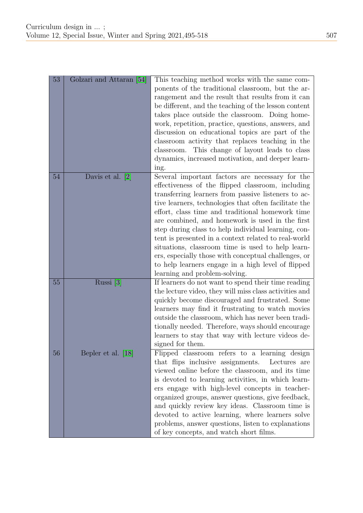| 53 | Golzari and Attaran [54] | This teaching method works with the same com-<br>ponents of the traditional classroom, but the ar-<br>rangement and the result that results from it can<br>be different, and the teaching of the lesson content<br>takes place outside the classroom. Doing home-<br>work, repetition, practice, questions, answers, and<br>discussion on educational topics are part of the<br>classroom activity that replaces teaching in the<br>classroom. This change of layout leads to class<br>dynamics, increased motivation, and deeper learn-<br>ing.                                                                                               |
|----|--------------------------|------------------------------------------------------------------------------------------------------------------------------------------------------------------------------------------------------------------------------------------------------------------------------------------------------------------------------------------------------------------------------------------------------------------------------------------------------------------------------------------------------------------------------------------------------------------------------------------------------------------------------------------------|
| 54 | Davis et al. $[2]$       | Several important factors are necessary for the<br>effectiveness of the flipped classroom, including<br>transferring learners from passive listeners to ac-<br>tive learners, technologies that often facilitate the<br>effort, class time and traditional homework time<br>are combined, and homework is used in the first<br>step during class to help individual learning, con-<br>tent is presented in a context related to real-world<br>situations, classroom time is used to help learn-<br>ers, especially those with conceptual challenges, or<br>to help learners engage in a high level of flipped<br>learning and problem-solving. |
| 55 | Russi [3]                | If learners do not want to spend their time reading<br>the lecture video, they will miss class activities and<br>quickly become discouraged and frustrated. Some<br>learners may find it frustrating to watch movies<br>outside the classroom, which has never been tradi-<br>tionally needed. Therefore, ways should encourage<br>learners to stay that way with lecture videos de-<br>signed for them.                                                                                                                                                                                                                                       |
| 56 | Bepler et al. [18]       | Flipped classroom refers to a learning design<br>that flips inclusive assignments.<br>Lectures are<br>viewed online before the classroom, and its time<br>is devoted to learning activities, in which learn-<br>ers engage with high-level concepts in teacher-<br>organized groups, answer questions, give feedback,<br>and quickly review key ideas. Classroom time is<br>devoted to active learning, where learners solve<br>problems, answer questions, listen to explanations<br>of key concepts, and watch short films.                                                                                                                  |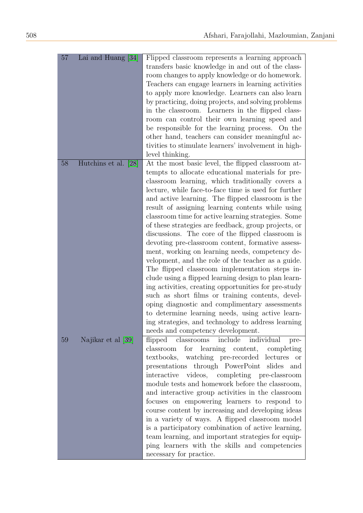| 57 | Lai and Huang [34]   | Flipped classroom represents a learning approach<br>transfers basic knowledge in and out of the class-<br>room changes to apply knowledge or do homework.<br>Teachers can engage learners in learning activities<br>to apply more knowledge. Learners can also learn<br>by practicing, doing projects, and solving problems<br>in the classroom. Learners in the flipped class-<br>room can control their own learning speed and<br>be responsible for the learning process. On the<br>other hand, teachers can consider meaningful ac-<br>tivities to stimulate learners' involvement in high-<br>level thinking.                                                                                                                                                                                                                                                                                                                                                                                                                                                                     |
|----|----------------------|----------------------------------------------------------------------------------------------------------------------------------------------------------------------------------------------------------------------------------------------------------------------------------------------------------------------------------------------------------------------------------------------------------------------------------------------------------------------------------------------------------------------------------------------------------------------------------------------------------------------------------------------------------------------------------------------------------------------------------------------------------------------------------------------------------------------------------------------------------------------------------------------------------------------------------------------------------------------------------------------------------------------------------------------------------------------------------------|
| 58 | Hutchins et al. [28] | At the most basic level, the flipped classroom at-<br>tempts to allocate educational materials for pre-<br>classroom learning, which traditionally covers a<br>lecture, while face-to-face time is used for further<br>and active learning. The flipped classroom is the<br>result of assigning learning contents while using<br>classroom time for active learning strategies. Some<br>of these strategies are feedback, group projects, or<br>discussions. The core of the flipped classroom is<br>devoting pre-classroom content, formative assess-<br>ment, working on learning needs, competency de-<br>velopment, and the role of the teacher as a guide.<br>The flipped classroom implementation steps in-<br>clude using a flipped learning design to plan learn-<br>ing activities, creating opportunities for pre-study<br>such as short films or training contents, devel-<br>oping diagnostic and complimentary assessments<br>to determine learning needs, using active learn-<br>ing strategies, and technology to address learning<br>needs and competency development. |
| 59 | Najikar et al [39]   | flipped classrooms include<br>individual<br>pre-<br>for learning content, completing<br>classroom<br>textbooks, watching pre-recorded lectures<br><sub>or</sub><br>presentations through PowerPoint slides<br>and<br>videos, completing pre-classroom<br>interactive<br>module tests and homework before the classroom,<br>and interactive group activities in the classroom<br>focuses on empowering learners to respond to<br>course content by increasing and developing ideas<br>in a variety of ways. A flipped classroom model<br>is a participatory combination of active learning,<br>team learning, and important strategies for equip-<br>ping learners with the skills and competencies<br>necessary for practice.                                                                                                                                                                                                                                                                                                                                                          |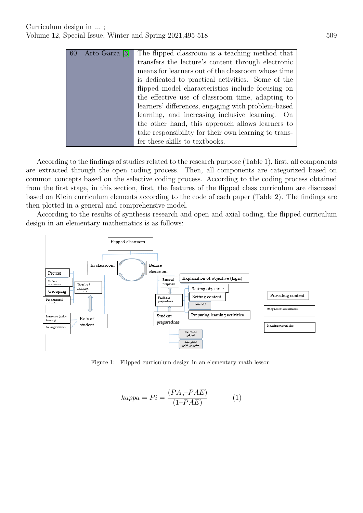| 60 | Arto Garza [3] | The flipped classroom is a teaching method that      |
|----|----------------|------------------------------------------------------|
|    |                | transfers the lecture's content through electronic   |
|    |                | means for learners out of the classroom whose time   |
|    |                | is dedicated to practical activities. Some of the    |
|    |                | flipped model characteristics include focusing on    |
|    |                | the effective use of classroom time, adapting to     |
|    |                | learners' differences, engaging with problem-based   |
|    |                | learning, and increasing inclusive learning. On      |
|    |                | the other hand, this approach allows learners to     |
|    |                | take responsibility for their own learning to trans- |
|    |                | fer these skills to textbooks.                       |

According to the findings of studies related to the research purpose (Table 1), first, all components are extracted through the open coding process. Then, all components are categorized based on common concepts based on the selective coding process. According to the coding process obtained from the first stage, in this section, first, the features of the flipped class curriculum are discussed based on Klein curriculum elements according to the code of each paper (Table 2). The findings are then plotted in a general and comprehensive model.

According to the results of synthesis research and open and axial coding, the flipped curriculum design in an elementary mathematics is as follows:



Figure 1: Flipped curriculum design in an elementary math lesson

$$
kappa = Pi = \frac{(PA_o - PAE)}{(1 - PAE)}\tag{1}
$$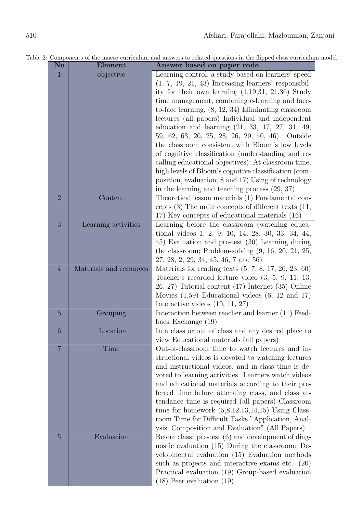| No                                    | Element                 | Answer based on paper code                                   |
|---------------------------------------|-------------------------|--------------------------------------------------------------|
| $\mathbf{1}$                          | objective               | Learning control, a study based on learners' speed           |
|                                       |                         | $(1, 7, 19, 21, 43)$ Increasing learners' responsibil-       |
|                                       |                         | ity for their own learning $(1,19,31, 21,36)$ Study          |
|                                       |                         | time management, combining e-learning and face-              |
|                                       |                         | to-face learning, $(8, 12, 34)$ Eliminating classroom        |
|                                       |                         | lectures (all papers) Individual and independent             |
|                                       |                         |                                                              |
|                                       |                         | education and learning $(21, 33, 17, 27, 31, 49,$            |
|                                       |                         | 59, 62, 63, 20, 25, 28, 26, 29, 40, 46). Outside             |
|                                       |                         | the classroom consistent with Bloom's low levels             |
|                                       |                         | of cognitive classification (understanding and re-           |
|                                       |                         | calling educational objectives); At classroom time,          |
|                                       |                         | high levels of Bloom's cognitive classification (com-        |
|                                       |                         | position, evaluation, 8 and 17) Using of technology          |
|                                       |                         | in the learning and teaching process $(29, 37)$              |
| $\overline{2}$<br>3<br>$\overline{4}$ | Content                 | Theoretical lesson materials (1) Fundamental con-            |
|                                       |                         | cepts $(3)$ The main concepts of different texts $(11, 1)$   |
|                                       |                         | 17) Key concepts of educational materials (16)               |
|                                       | Learning activities     | Learning before the classroom (watching educa-               |
|                                       |                         | tional videos 1, 2, 9, 10, 14, 28, 30, 33, 34, 44,           |
|                                       |                         | 45) Evaluation and pre-test (30) Learning during             |
|                                       |                         | the classroom; Problem-solving $(9, 16, 20, 21, 25,$         |
|                                       |                         |                                                              |
|                                       |                         | $27, 28, 2, 29, 34, 45, 46, 7 \text{ and } 56$               |
|                                       | Materials and resources | Materials for reading texts $(5, 7, 8, 17, 26, 23, 60)$      |
|                                       |                         | Teacher's recorded lecture video $(3, 5, 9, 11, 13,$         |
|                                       |                         | $(26, 27)$ Tutorial content $(17)$ Internet $(35)$ Online    |
|                                       |                         | Movies $(1,59)$ Educational videos $(6, 12 \text{ and } 17)$ |
|                                       |                         | Interactive videos $(10, 11, 27)$                            |
| $\overline{5}$                        | Grouping                | Interaction between teacher and learner (11) Feed-           |
|                                       |                         | back Exchange $(19)$                                         |
| 6                                     | Location                | In a class or out of class and any desired place to          |
|                                       |                         | view Educational materials (all papers)                      |
| $\overline{7}$                        | Time                    | Out-of-classroom time to watch lectures and in-              |
|                                       |                         | structional videos is devoted to watching lectures           |
|                                       |                         | and instructional videos, and in-class time is de-           |
|                                       |                         | voted to learning activities. Learners watch videos          |
|                                       |                         | and educational materials according to their pre-            |
|                                       |                         | ferred time before attending class, and class at-            |
|                                       |                         | tendance time is required (all papers) Classroom             |
|                                       |                         | time for homework $(5,8,12,13,14,15)$ Using Class-           |
|                                       |                         | room Time for Difficult Tasks "Application, Anal-            |
|                                       |                         | ysis, Composition and Evaluation" (All Papers)               |
| $\overline{5}$                        | Evaluation              | Before class: pre-test $(6)$ and development of diag-        |
|                                       |                         | nostic evaluation $(15)$ During the classroom: De-           |
|                                       |                         | velopmental evaluation (15) Evaluation methods               |
|                                       |                         | such as projects and interactive exams etc. $(20)$           |
|                                       |                         | Practical evaluation (19) Group-based evaluation             |
|                                       |                         | $(18)$ Peer evaluation $(19)$                                |
|                                       |                         |                                                              |

Table 2: Components of the macro curriculum and answers to related questions in the flipped class curriculum model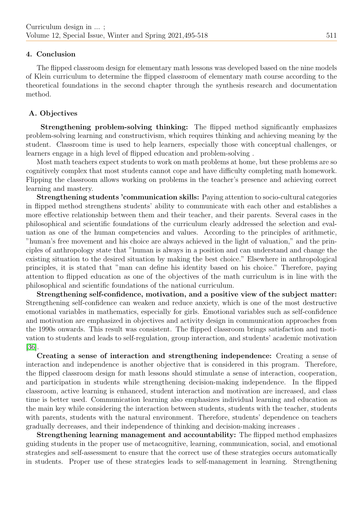## 4. Conclusion

The flipped classroom design for elementary math lessons was developed based on the nine models of Klein curriculum to determine the flipped classroom of elementary math course according to the theoretical foundations in the second chapter through the synthesis research and documentation method.

## A. Objectives

Strengthening problem-solving thinking: The flipped method significantly emphasizes problem-solving learning and constructivism, which requires thinking and achieving meaning by the student. Classroom time is used to help learners, especially those with conceptual challenges, or learners engage in a high level of flipped education and problem-solving .

Most math teachers expect students to work on math problems at home, but these problems are so cognitively complex that most students cannot cope and have difficulty completing math homework. Flipping the classroom allows working on problems in the teacher's presence and achieving correct learning and mastery.

Strengthening students 'communication skills: Paying attention to socio-cultural categories in flipped method strengthens students' ability to communicate with each other and establishes a more effective relationship between them and their teacher, and their parents. Several cases in the philosophical and scientific foundations of the curriculum clearly addressed the selection and evaluation as one of the human competencies and values. According to the principles of arithmetic, "human's free movement and his choice are always achieved in the light of valuation," and the principles of anthropology state that "human is always in a position and can understand and change the existing situation to the desired situation by making the best choice." Elsewhere in anthropological principles, it is stated that "man can define his identity based on his choice." Therefore, paying attention to flipped education as one of the objectives of the math curriculum is in line with the philosophical and scientific foundations of the national curriculum.

Strengthening self-confidence, motivation, and a positive view of the subject matter: Strengthening self-confidence can weaken and reduce anxiety, which is one of the most destructive emotional variables in mathematics, especially for girls. Emotional variables such as self-confidence and motivation are emphasized in objectives and activity design in communication approaches from the 1990s onwards. This result was consistent. The flipped classroom brings satisfaction and motivation to students and leads to self-regulation, group interaction, and students' academic motivation [\[36\]](#page-22-15).

Creating a sense of interaction and strengthening independence: Creating a sense of interaction and independence is another objective that is considered in this program. Therefore, the flipped classroom design for math lessons should stimulate a sense of interaction, cooperation, and participation in students while strengthening decision-making independence. In the flipped classroom, active learning is enhanced, student interaction and motivation are increased, and class time is better used. Communication learning also emphasizes individual learning and education as the main key while considering the interaction between students, students with the teacher, students with parents, students with the natural environment. Therefore, students' dependence on teachers gradually decreases, and their independence of thinking and decision-making increases .

Strengthening learning management and accountability: The flipped method emphasizes guiding students in the proper use of metacognitive, learning, communication, social, and emotional strategies and self-assessment to ensure that the correct use of these strategies occurs automatically in students. Proper use of these strategies leads to self-management in learning. Strengthening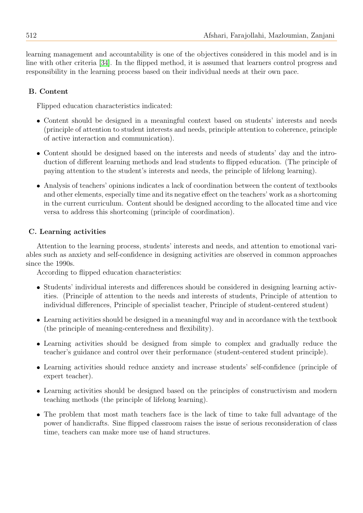learning management and accountability is one of the objectives considered in this model and is in line with other criteria [\[34\]](#page-22-2). In the flipped method, it is assumed that learners control progress and responsibility in the learning process based on their individual needs at their own pace.

# B. Content

Flipped education characteristics indicated:

- Content should be designed in a meaningful context based on students' interests and needs (principle of attention to student interests and needs, principle attention to coherence, principle of active interaction and communication).
- Content should be designed based on the interests and needs of students' day and the introduction of different learning methods and lead students to flipped education. (The principle of paying attention to the student's interests and needs, the principle of lifelong learning).
- Analysis of teachers' opinions indicates a lack of coordination between the content of textbooks and other elements, especially time and its negative effect on the teachers' work as a shortcoming in the current curriculum. Content should be designed according to the allocated time and vice versa to address this shortcoming (principle of coordination).

# C. Learning activities

Attention to the learning process, students' interests and needs, and attention to emotional variables such as anxiety and self-confidence in designing activities are observed in common approaches since the 1990s.

According to flipped education characteristics:

- Students' individual interests and differences should be considered in designing learning activities. (Principle of attention to the needs and interests of students, Principle of attention to individual differences, Principle of specialist teacher, Principle of student-centered student)
- Learning activities should be designed in a meaningful way and in accordance with the textbook (the principle of meaning-centeredness and flexibility).
- Learning activities should be designed from simple to complex and gradually reduce the teacher's guidance and control over their performance (student-centered student principle).
- Learning activities should reduce anxiety and increase students' self-confidence (principle of expert teacher).
- Learning activities should be designed based on the principles of constructivism and modern teaching methods (the principle of lifelong learning).
- The problem that most math teachers face is the lack of time to take full advantage of the power of handicrafts. Sine flipped classroom raises the issue of serious reconsideration of class time, teachers can make more use of hand structures.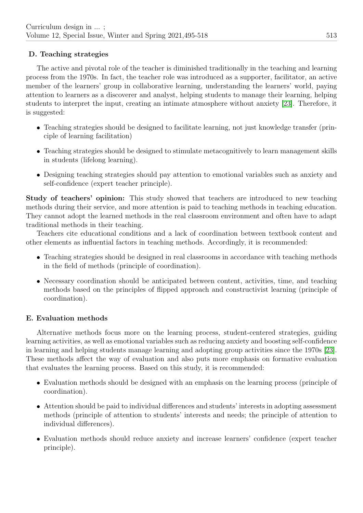# D. Teaching strategies

The active and pivotal role of the teacher is diminished traditionally in the teaching and learning process from the 1970s. In fact, the teacher role was introduced as a supporter, facilitator, an active member of the learners' group in collaborative learning, understanding the learners' world, paying attention to learners as a discoverer and analyst, helping students to manage their learning, helping students to interpret the input, creating an intimate atmosphere without anxiety [\[23\]](#page-22-18). Therefore, it is suggested:

- Teaching strategies should be designed to facilitate learning, not just knowledge transfer (principle of learning facilitation)
- Teaching strategies should be designed to stimulate metacognitively to learn management skills in students (lifelong learning).
- Designing teaching strategies should pay attention to emotional variables such as anxiety and self-confidence (expert teacher principle).

Study of teachers' opinion: This study showed that teachers are introduced to new teaching methods during their service, and more attention is paid to teaching methods in teaching education. They cannot adopt the learned methods in the real classroom environment and often have to adapt traditional methods in their teaching.

Teachers cite educational conditions and a lack of coordination between textbook content and other elements as influential factors in teaching methods. Accordingly, it is recommended:

- Teaching strategies should be designed in real classrooms in accordance with teaching methods in the field of methods (principle of coordination).
- Necessary coordination should be anticipated between content, activities, time, and teaching methods based on the principles of flipped approach and constructivist learning (principle of coordination).

# E. Evaluation methods

Alternative methods focus more on the learning process, student-centered strategies, guiding learning activities, as well as emotional variables such as reducing anxiety and boosting self-confidence in learning and helping students manage learning and adopting group activities since the 1970s [\[23\]](#page-22-18). These methods affect the way of evaluation and also puts more emphasis on formative evaluation that evaluates the learning process. Based on this study, it is recommended:

- Evaluation methods should be designed with an emphasis on the learning process (principle of coordination).
- Attention should be paid to individual differences and students' interests in adopting assessment methods (principle of attention to students' interests and needs; the principle of attention to individual differences).
- Evaluation methods should reduce anxiety and increase learners' confidence (expert teacher principle).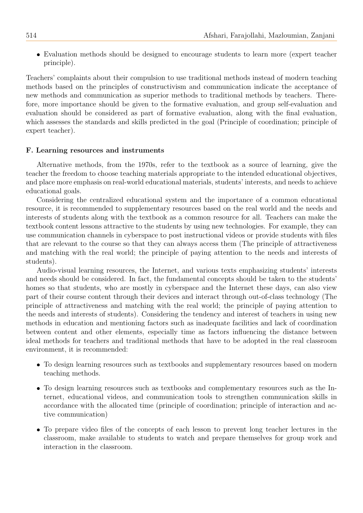Evaluation methods should be designed to encourage students to learn more (expert teacher principle).

Teachers' complaints about their compulsion to use traditional methods instead of modern teaching methods based on the principles of constructivism and communication indicate the acceptance of new methods and communication as superior methods to traditional methods by teachers. Therefore, more importance should be given to the formative evaluation, and group self-evaluation and evaluation should be considered as part of formative evaluation, along with the final evaluation, which assesses the standards and skills predicted in the goal (Principle of coordination; principle of expert teacher).

#### F. Learning resources and instruments

Alternative methods, from the 1970s, refer to the textbook as a source of learning, give the teacher the freedom to choose teaching materials appropriate to the intended educational objectives, and place more emphasis on real-world educational materials, students' interests, and needs to achieve educational goals.

Considering the centralized educational system and the importance of a common educational resource, it is recommended to supplementary resources based on the real world and the needs and interests of students along with the textbook as a common resource for all. Teachers can make the textbook content lessons attractive to the students by using new technologies. For example, they can use communication channels in cyberspace to post instructional videos or provide students with files that are relevant to the course so that they can always access them (The principle of attractiveness and matching with the real world; the principle of paying attention to the needs and interests of students).

Audio-visual learning resources, the Internet, and various texts emphasizing students' interests and needs should be considered. In fact, the fundamental concepts should be taken to the students' homes so that students, who are mostly in cyberspace and the Internet these days, can also view part of their course content through their devices and interact through out-of-class technology (The principle of attractiveness and matching with the real world; the principle of paying attention to the needs and interests of students). Considering the tendency and interest of teachers in using new methods in education and mentioning factors such as inadequate facilities and lack of coordination between content and other elements, especially time as factors influencing the distance between ideal methods for teachers and traditional methods that have to be adopted in the real classroom environment, it is recommended:

- To design learning resources such as textbooks and supplementary resources based on modern teaching methods.
- To design learning resources such as textbooks and complementary resources such as the Internet, educational videos, and communication tools to strengthen communication skills in accordance with the allocated time (principle of coordination; principle of interaction and active communication)
- To prepare video files of the concepts of each lesson to prevent long teacher lectures in the classroom, make available to students to watch and prepare themselves for group work and interaction in the classroom.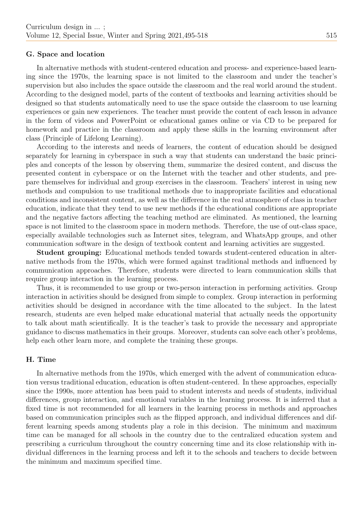#### G. Space and location

In alternative methods with student-centered education and process- and experience-based learning since the 1970s, the learning space is not limited to the classroom and under the teacher's supervision but also includes the space outside the classroom and the real world around the student. According to the designed model, parts of the content of textbooks and learning activities should be designed so that students automatically need to use the space outside the classroom to use learning experiences or gain new experiences. The teacher must provide the content of each lesson in advance in the form of videos and PowerPoint or educational games online or via CD to be prepared for homework and practice in the classroom and apply these skills in the learning environment after class (Principle of Lifelong Learning).

According to the interests and needs of learners, the content of education should be designed separately for learning in cyberspace in such a way that students can understand the basic principles and concepts of the lesson by observing them, summarize the desired content, and discuss the presented content in cyberspace or on the Internet with the teacher and other students, and prepare themselves for individual and group exercises in the classroom. Teachers' interest in using new methods and compulsion to use traditional methods due to inappropriate facilities and educational conditions and inconsistent content, as well as the difference in the real atmosphere of class in teacher education, indicate that they tend to use new methods if the educational conditions are appropriate and the negative factors affecting the teaching method are eliminated. As mentioned, the learning space is not limited to the classroom space in modern methods. Therefore, the use of out-class space, especially available technologies such as Internet sites, telegram, and WhatsApp groups, and other communication software in the design of textbook content and learning activities are suggested.

Student grouping: Educational methods tended towards student-centered education in alternative methods from the 1970s, which were formed against traditional methods and influenced by communication approaches. Therefore, students were directed to learn communication skills that require group interaction in the learning process.

Thus, it is recommended to use group or two-person interaction in performing activities. Group interaction in activities should be designed from simple to complex. Group interaction in performing activities should be designed in accordance with the time allocated to the subject. In the latest research, students are even helped make educational material that actually needs the opportunity to talk about math scientifically. It is the teacher's task to provide the necessary and appropriate guidance to discuss mathematics in their groups. Moreover, students can solve each other's problems, help each other learn more, and complete the training these groups.

#### H. Time

In alternative methods from the 1970s, which emerged with the advent of communication education versus traditional education, education is often student-centered. In these approaches, especially since the 1990s, more attention has been paid to student interests and needs of students, individual differences, group interaction, and emotional variables in the learning process. It is inferred that a fixed time is not recommended for all learners in the learning process in methods and approaches based on communication principles such as the flipped approach, and individual differences and different learning speeds among students play a role in this decision. The minimum and maximum time can be managed for all schools in the country due to the centralized education system and prescribing a curriculum throughout the country concerning time and its close relationship with individual differences in the learning process and left it to the schools and teachers to decide between the minimum and maximum specified time.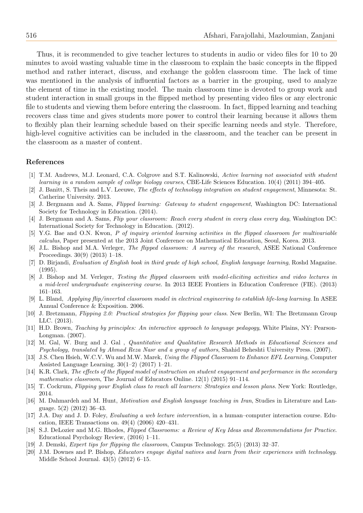Thus, it is recommended to give teacher lectures to students in audio or video files for 10 to 20 minutes to avoid wasting valuable time in the classroom to explain the basic concepts in the flipped method and rather interact, discuss, and exchange the golden classroom time. The lack of time was mentioned in the analysis of influential factors as a barrier in the grouping, used to analyze the element of time in the existing model. The main classroom time is devoted to group work and student interaction in small groups in the flipped method by presenting video files or any electronic file to students and viewing them before entering the classroom. In fact, flipped learning and teaching recovers class time and gives students more power to control their learning because it allows them to flexibly plan their learning schedule based on their specific learning needs and style. Therefore, high-level cognitive activities can be included in the classroom, and the teacher can be present in the classroom as a master of content.

#### References

- [1] T.M. Andrews, M.J. Leonard, C.A. Colgrove and S.T. Kalinowski, Active learning not associated with student learning in a random sample of college biology courses, CBE-Life Sciences Education. 10(4) (2011) 394–405.
- <span id="page-21-2"></span>[2] J. Banitt, S. Theis and L.V. Leeuwe, The effects of technology integration on student engagement, Minnesota: St. Catherine University. 2013.
- <span id="page-21-7"></span>[3] J. Bergmann and A. Sams, Flipped learning: Gateway to student engagement, Washington DC: International Society for Technology in Education. (2014).
- <span id="page-21-6"></span>[4] J. Bergmann and A. Sams, Flip your classroom: Reach every student in every class every day, Washington DC: International Society for Technology in Education. (2012).
- [5] Y.G. Bae and O.N. Kwon, P of inquiry oriented learning activities in the flipped classroom for multivariable calculus, Paper presented at the 2013 Joint Conference on Mathematical Education, Seoul, Korea. 2013.
- <span id="page-21-4"></span>[6] J.L. Bishop and M.A. Verleger, The flipped classroom: A survey of the research, ASEE National Conference Proceedings. 30(9) (2013) 1–18.
- [7] D. Birjandi, Evaluation of English book in third grade of high school, English language learning, Roshd Magazine. (1995).
- <span id="page-21-5"></span>[8] J. Bishop and M. Verleger, Testing the flipped classroom with model-eliciting activities and video lectures in a mid-level undergraduate engineering course. In 2013 IEEE Frontiers in Education Conference (FIE). (2013) 161–163.
- [9] L. Bland, Applying flip/inverted classroom model in electrical engineering to establish life-long learning. In ASEE Annual Conference & Exposition. 2006.
- [10] J. Bretzmann, Flipping 2.0: Practical strategies for flipping your class. New Berlin, WI: The Bretzmann Group LLC. (2013).
- [11] H.D. Brown, Teaching by principles: An interactive approach to language pedagogy, White Plains, NY: Pearson-Longman. (2007).
- <span id="page-21-10"></span>[12] M. Gal, W. Burg and J. Gal, Quantitative and Qualitative Research Methods in Educational Sciences and Psychology, translated by Ahmad Reza Nasr and a group of authors, Shahid Beheshti University Press. (2007).
- <span id="page-21-0"></span>[13] J.S. Chen Hsieh, W.C.V. Wu and M.W. Marek, Using the Flipped Classroom to Enhance EFL Learning, Computer Assisted Language Learning. 30(1–2) (2017) 1–21.
- <span id="page-21-1"></span>[14] K.R. Clark, The effects of the flipped model of instruction on student engagement and performance in the secondary mathematics classroom, The Journal of Educators Online. 12(1) (2015) 91–114.
- [15] T. Cockrum, Flipping your English class to reach all learners: Strategies and lesson plans. New York: Routledge, 2014.
- [16] M. Dahmardeh and M. Hunt, Motivation and English language teaching in Iran, Studies in Literature and Language. 5(2) (2012) 36–43.
- <span id="page-21-9"></span>[17] J.A. Day and J. D. Foley, Evaluating a web lecture intervention, in a human–computer interaction course. Education, IEEE Transactions on. 49(4) (2006) 420–431.
- <span id="page-21-11"></span>[18] S.J. DeLozier and M.G. Rhodes, Flipped Classrooms: a Review of Key Ideas and Recommendations for Practice. Educational Psychology Review, (2016) 1–11.
- <span id="page-21-8"></span>[19] J. Demski, Expert tips for flipping the classroom, Campus Technology. 25(5) (2013) 32–37.
- <span id="page-21-3"></span>[20] J.M. Downes and P. Bishop, Educators engage digital natives and learn from their experiences with technology. Middle School Journal. 43(5) (2012) 6–15.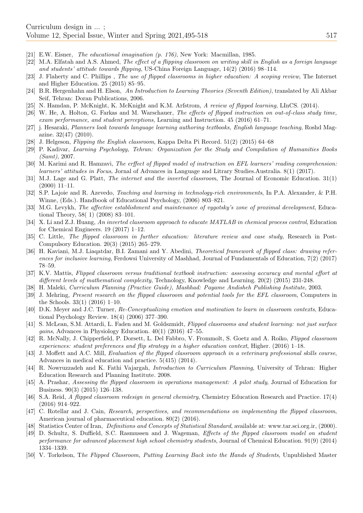- [21] E.W. Eisner, The educational imagination (p. 176), New York: Macmillan, 1985.
- [22] M.A. Elfatah and A.S. Ahmed, The effect of a flipping classroom on writing skill in English as a foreign language and students' attitude towards flipping, US-China Foreign Language, 14(2) (2016) 98–114.
- <span id="page-22-18"></span>[23] J. Flaherty and C. Phillips , The use of flipped classrooms in higher education: A scoping review, The Internet and Higher Education. 25 (2015) 85–95.
- <span id="page-22-10"></span>[24] B.R. Hergenhahn and H. Elson, An Introduction to Learning Theories (Seventh Edition), translated by Ali Akbar Seif, Tehran: Doran Publications, 2006.
- <span id="page-22-8"></span>[25] N. Hamdan, P. McKnight, K. McKnight and K.M. Arfstrom, A review of flipped learning, LInCS. (2014).
- <span id="page-22-19"></span>[26] W. He, A. Holton, G. Farkas and M. Warschauer, The effects of flipped instruction on out-of-class study time, exam performance, and student perceptions, Learning and Instruction. 45 (2016) 61–71.
- <span id="page-22-13"></span>[27] j. Hesaraki, Planners look towards language learning authoring textbooks, English language teaching, Roshd Magazine.  $32(47)$  (2010).
- <span id="page-22-5"></span>[28] J. Helgeson, Flipping the English classroom, Kappa Delta Pi Record. 51(2) (2015) 64–68
- <span id="page-22-14"></span>[29] P. Kadivar, Learning Psychology, Tehran: Organization for the Study and Compilation of Humanities Books (Samt), 2007.
- <span id="page-22-1"></span>[30] M. Karimi and R. Hamzavi, The erffect of flipped model of instruction on EFL learners' reading comprehension: learners' attitudes in Focus, Jornal of Advances in Language and Litrary Studies.Australia. 8(1) (2017).
- <span id="page-22-7"></span>[31] M.J. Lage and G. Platt, The internet and the inverted classroom, The Journal of Economic Education. 31(1) (2000) 11–11.
- <span id="page-22-3"></span>[32] S.P. Lajoie and R. Azevedo, Teaching and learning in technology-rich environments, In P.A. Alexander, & P.H. Winne, (Eds.). Handbook of Educational Psychology, (2006) 803–821.
- <span id="page-22-21"></span>[33] M.G. Levykh, The affective establishment and maintenance of vygotsky's zone of proximal development, Educational Theory, 58( 1) (2008) 83–101.
- <span id="page-22-2"></span>[34] X. Li and Z.J. Huang, An inverted classroom approach to educate MATLAB in chemical process control, Education for Chemical Engineers. 19 (2017) 1–12.
- <span id="page-22-4"></span>[35] C. Little, The flipped classroom in further education: literature review and case study, Research in Post-Compulsory Education. 20(3) (2015) 265–279.
- <span id="page-22-15"></span>[36] H. Kaviani, M.J. Liaqatdar, B.I. Zamani and Y. Abedini, Theoretical framework of flipped class: drawing references for inclusive learning, Ferdowsi University of Mashhad, Journal of Fundamentals of Education, 7(2) (2017) 78–59.
- <span id="page-22-22"></span>[37] K.V. Mattis, Flipped classroom versus traditional textbook instruction: assessing accuracy and mental effort at different levels of mathematical complexity, Technology, Knowledge and Learning. 20(2) (2015) 231-248.
- <span id="page-22-0"></span>[38] H. Maleki, Curriculum Planning (Practice Guide), Mashhad: Payame Andisheh Publishing Institute, 2003.
- <span id="page-22-16"></span>[39] J. Mehring, Present research on the flipped classroom and potential tools for the EFL classroom, Computers in the Schools. 33(1) (2016) 1–10.
- <span id="page-22-9"></span>[40] D.K. Meyer and J.C. Turner, Re-Conceptualizing emotion and motivation to learn in classroom contexts, Educational Psychology Review. 18(4) (2006) 377–390.
- <span id="page-22-20"></span>[41] S. McLean, S.M. Attardi, L. Faden and M. Goldszmidt, Flipped classrooms and student learning: not just surface gains, Advances in Physiology Education. 40(1) (2016) 47–55.
- <span id="page-22-24"></span>[42] R. McNally, J. Chipperfield, P. Dorsett, L. Del Fabbro, V. Frommolt, S. Goetz and A. Roiko, Flipped classroom experiences: student preferences and flip strategy in a higher education context, Higher. (2016) 1–18.
- <span id="page-22-23"></span>[43] J. Moffett and A.C. Mill, Evaluation of the flipped classroom approach in a veterinary professional skills course, Advances in medical education and practice. 5(415) (2014).
- <span id="page-22-12"></span>[44] R. Nowruzzadeh and K. Fathi Vajargah, Introduction to Curriculum Planning, University of Tehran: Higher Education Research and Planning Institute. 2008.
- <span id="page-22-25"></span>[45] A. Prashar, Assessing the flipped classroom in operations management: A pilot study, Journal of Education for Business. 90(3) (2015) 126–138.
- <span id="page-22-17"></span>[46] S.A. Reid, A flipped classroom redesign in general chemistry, Chemistry Education Research and Practice. 17(4) (2016) 914–922.
- <span id="page-22-26"></span>[47] C. Rotellar and J. Cain, Research, perspectives, and recommendations on implementing the flipped classroom, American journal of pharmaceutical education. 80(2) (2016).
- [48] Statistics Center of Iran, Definitions and Concepts of Statistical Standard, available at: www.tar.sci.org.ir, (2000).
- <span id="page-22-6"></span>[49] D. Schultz, S. Duffield, S.C. Rasmussen and J. Wageman, Effects of the flipped classroom model on student performance for advanced placement high school chemistry students, Journal of Chemical Education. 91(9) (2014) 1334–1339.
- <span id="page-22-11"></span>[50] V. Torkelson, The Flipped Classroom, Putting Learning Back into the Hands of Students, Unpublished Master